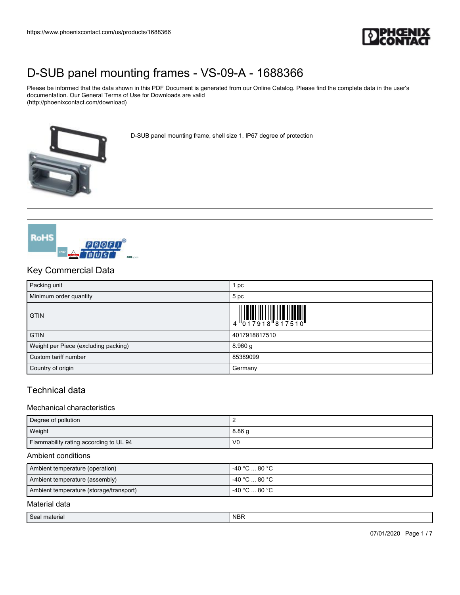

Please be informed that the data shown in this PDF Document is generated from our Online Catalog. Please find the complete data in the user's documentation. Our General Terms of Use for Downloads are valid (http://phoenixcontact.com/download)

D-SUB panel mounting frame, shell size 1, IP67 degree of protection





### Key Commercial Data

| Packing unit                         | 1 pc                                                                                                                                                                                                                                                                                                                          |
|--------------------------------------|-------------------------------------------------------------------------------------------------------------------------------------------------------------------------------------------------------------------------------------------------------------------------------------------------------------------------------|
| Minimum order quantity               | 5 pc                                                                                                                                                                                                                                                                                                                          |
| <b>GTIN</b>                          | $\begin{array}{c} 1 & 0 & 0 & 0 \\ 0 & 1 & 0 & 0 \\ 0 & 1 & 0 & 0 \\ 0 & 0 & 1 & 0 \\ 0 & 0 & 0 & 0 \\ 0 & 0 & 0 & 0 \\ 0 & 0 & 0 & 0 \\ 0 & 0 & 0 & 0 \\ 0 & 0 & 0 & 0 \\ 0 & 0 & 0 & 0 \\ 0 & 0 & 0 & 0 & 0 \\ 0 & 0 & 0 & 0 & 0 \\ 0 & 0 & 0 & 0 & 0 \\ 0 & 0 & 0 & 0 & 0 & 0 \\ 0 & 0 & 0 & 0 & 0 & 0 \\ 0 & 0 & 0 & 0 &$ |
| <b>GTIN</b>                          | 4017918817510                                                                                                                                                                                                                                                                                                                 |
| Weight per Piece (excluding packing) | 8.960 g                                                                                                                                                                                                                                                                                                                       |
| Custom tariff number                 | 85389099                                                                                                                                                                                                                                                                                                                      |
| Country of origin                    | Germany                                                                                                                                                                                                                                                                                                                       |

### Technical data

#### Mechanical characteristics

| Degree of pollution                    |                   |
|----------------------------------------|-------------------|
| Weight                                 | 8.86 <sub>q</sub> |
| Flammability rating according to UL 94 | V <sub>0</sub>    |

#### Ambient conditions

| Ambient temperature (operation)         | -40 °C … 80 °C .  |
|-----------------------------------------|-------------------|
| Ambient temperature (assembly)          | l -40 °C  80 °C . |
| Ambient temperature (storage/transport) | l -40 °C  80 °C . |

#### Material data

| $\sim$<br>.,<br>. | <b>AIDE</b><br>. |
|-------------------|------------------|
|                   |                  |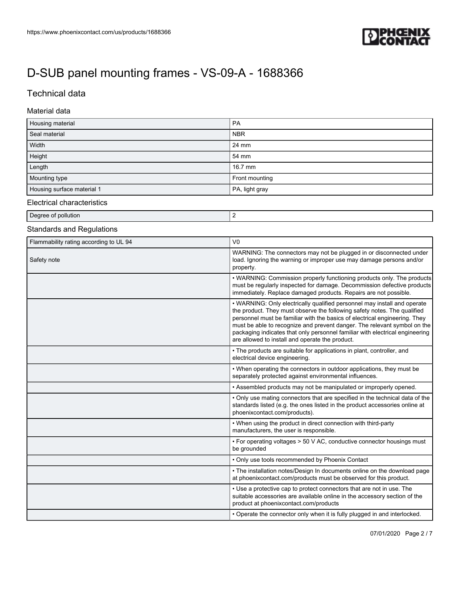

## Technical data

#### Material data

| Housing material           | PA             |
|----------------------------|----------------|
| Seal material              | <b>NBR</b>     |
| Width                      | 24 mm          |
| Height                     | 54 mm          |
| Length                     | 16.7 mm        |
| Mounting type              | Front mounting |
| Housing surface material 1 | PA, light gray |

### Electrical characteristics

Degree of pollution 2

### Standards and Regulations

| Flammability rating according to UL 94 | V <sub>0</sub>                                                                                                                                                                                                                                                                                                                                                                                                                                    |  |  |
|----------------------------------------|---------------------------------------------------------------------------------------------------------------------------------------------------------------------------------------------------------------------------------------------------------------------------------------------------------------------------------------------------------------------------------------------------------------------------------------------------|--|--|
| Safety note                            | WARNING: The connectors may not be plugged in or disconnected under<br>load. Ignoring the warning or improper use may damage persons and/or<br>property.                                                                                                                                                                                                                                                                                          |  |  |
|                                        | • WARNING: Commission properly functioning products only. The products<br>must be regularly inspected for damage. Decommission defective products<br>immediately. Replace damaged products. Repairs are not possible.                                                                                                                                                                                                                             |  |  |
|                                        | • WARNING: Only electrically qualified personnel may install and operate<br>the product. They must observe the following safety notes. The qualified<br>personnel must be familiar with the basics of electrical engineering. They<br>must be able to recognize and prevent danger. The relevant symbol on the<br>packaging indicates that only personnel familiar with electrical engineering<br>are allowed to install and operate the product. |  |  |
|                                        | • The products are suitable for applications in plant, controller, and<br>electrical device engineering.                                                                                                                                                                                                                                                                                                                                          |  |  |
|                                        | • When operating the connectors in outdoor applications, they must be<br>separately protected against environmental influences.                                                                                                                                                                                                                                                                                                                   |  |  |
|                                        | • Assembled products may not be manipulated or improperly opened.                                                                                                                                                                                                                                                                                                                                                                                 |  |  |
|                                        | • Only use mating connectors that are specified in the technical data of the<br>standards listed (e.g. the ones listed in the product accessories online at<br>phoenixcontact.com/products).                                                                                                                                                                                                                                                      |  |  |
|                                        | • When using the product in direct connection with third-party<br>manufacturers, the user is responsible.                                                                                                                                                                                                                                                                                                                                         |  |  |
|                                        | • For operating voltages > 50 V AC, conductive connector housings must<br>be grounded                                                                                                                                                                                                                                                                                                                                                             |  |  |
|                                        | • Only use tools recommended by Phoenix Contact                                                                                                                                                                                                                                                                                                                                                                                                   |  |  |
|                                        | • The installation notes/Design In documents online on the download page<br>at phoenixcontact.com/products must be observed for this product.                                                                                                                                                                                                                                                                                                     |  |  |
|                                        | • Use a protective cap to protect connectors that are not in use. The<br>suitable accessories are available online in the accessory section of the<br>product at phoenixcontact.com/products                                                                                                                                                                                                                                                      |  |  |
|                                        | • Operate the connector only when it is fully plugged in and interlocked.                                                                                                                                                                                                                                                                                                                                                                         |  |  |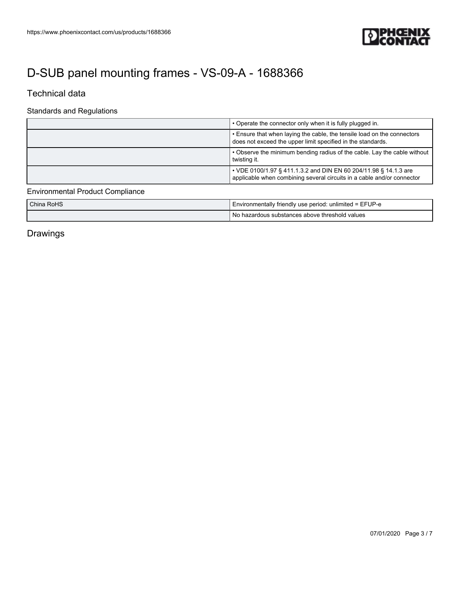

## Technical data

### Standards and Regulations

| • Operate the connector only when it is fully plugged in.                                                                                  |  |  |
|--------------------------------------------------------------------------------------------------------------------------------------------|--|--|
| . Ensure that when laying the cable, the tensile load on the connectors<br>does not exceed the upper limit specified in the standards.     |  |  |
| • Observe the minimum bending radius of the cable. Lay the cable without<br>twisting it.                                                   |  |  |
| • VDE 0100/1.97 § 411.1.3.2 and DIN EN 60 204/11.98 § 14.1.3 are<br>applicable when combining several circuits in a cable and/or connector |  |  |

## Environmental Product Compliance

| China RoHS | I Environmentally friendly use period: unlimited = EFUP-e |  |
|------------|-----------------------------------------------------------|--|
|            | T No hazardous substances above threshold values          |  |

Drawings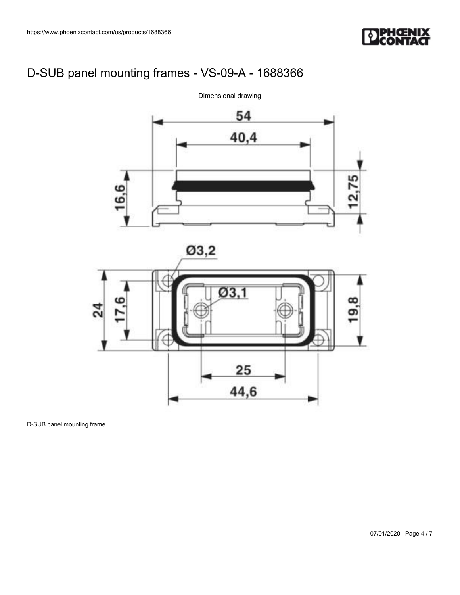



D-SUB panel mounting frame

07/01/2020 Page 4 / 7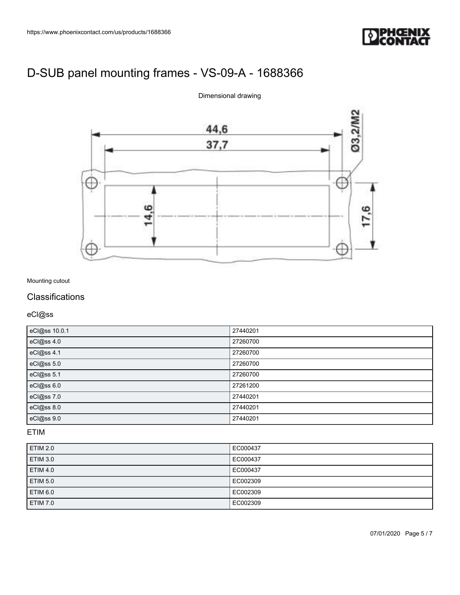



#### Dimensional drawing

### Mounting cutout

### **Classifications**

eCl@ss

| eCl@ss 10.0.1 | 27440201 |
|---------------|----------|
| eCl@ss 4.0    | 27260700 |
| eCl@ss 4.1    | 27260700 |
| eCl@ss 5.0    | 27260700 |
| eCl@ss 5.1    | 27260700 |
| eCl@ss 6.0    | 27261200 |
| eCl@ss 7.0    | 27440201 |
| eCl@ss 8.0    | 27440201 |
| eCl@ss 9.0    | 27440201 |

### ETIM

| ETIM 2.0        | EC000437 |
|-----------------|----------|
| ETIM 3.0        | EC000437 |
| <b>ETIM 4.0</b> | EC000437 |
| <b>ETIM 5.0</b> | EC002309 |
| ETIM 6.0        | EC002309 |
| ETIM 7.0        | EC002309 |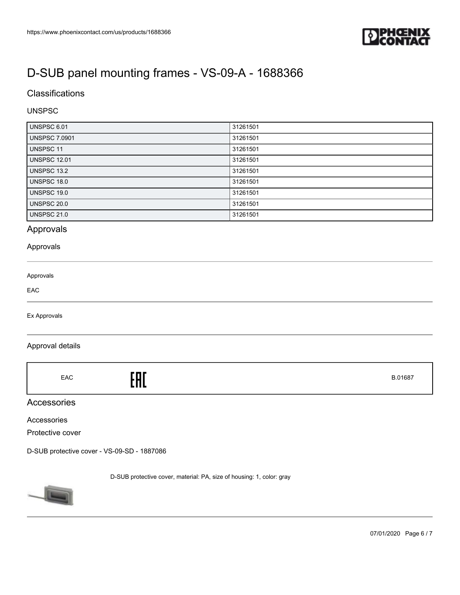

### **Classifications**

### UNSPSC

| <b>UNSPSC 6.01</b>   | 31261501 |
|----------------------|----------|
| <b>UNSPSC 7.0901</b> | 31261501 |
| UNSPSC 11            | 31261501 |
| <b>UNSPSC 12.01</b>  | 31261501 |
| <b>UNSPSC 13.2</b>   | 31261501 |
| UNSPSC 18.0          | 31261501 |
| UNSPSC 19.0          | 31261501 |
| <b>UNSPSC 20.0</b>   | 31261501 |
| <b>UNSPSC 21.0</b>   | 31261501 |

### Approvals

#### Approvals

| Approvals |  |  |
|-----------|--|--|
| EAC       |  |  |
|           |  |  |

Ex Approvals

#### Approval details

|  | EAC | EAC | B.01687 |
|--|-----|-----|---------|
|--|-----|-----|---------|

### Accessories

Accessories

Protective cover

[D-SUB protective cover - VS-09-SD - 1887086](https://www.phoenixcontact.com/us/products/1887086)

D-SUB protective cover, material: PA, size of housing: 1, color: gray



07/01/2020 Page 6 / 7